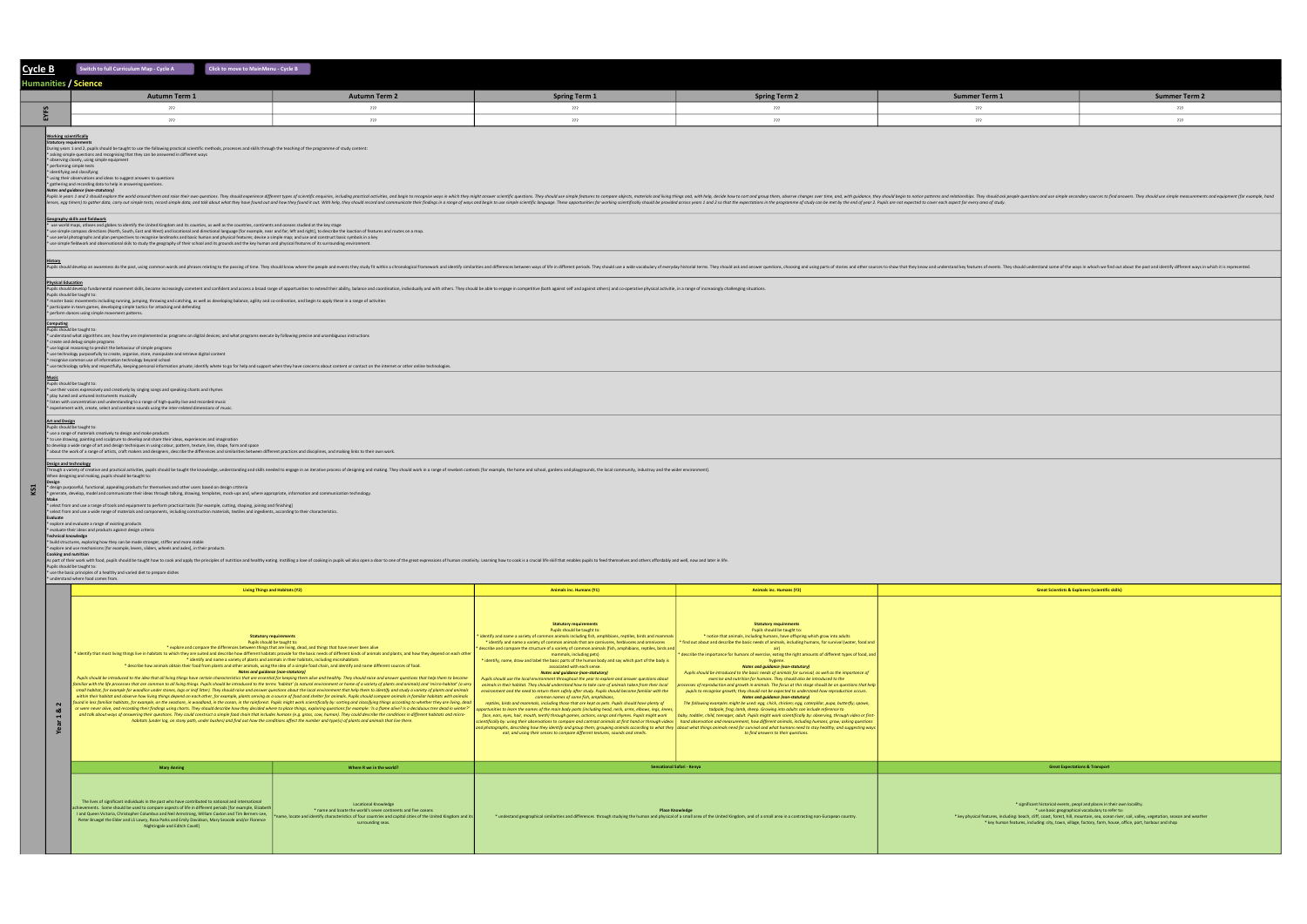| <b>Summer Term 1</b>                                                                                       | <b>Summer Term 2</b>                                                                                                                                                                                                                                                             |  |  |  |
|------------------------------------------------------------------------------------------------------------|----------------------------------------------------------------------------------------------------------------------------------------------------------------------------------------------------------------------------------------------------------------------------------|--|--|--|
| ???<br>???                                                                                                 | ???<br>???                                                                                                                                                                                                                                                                       |  |  |  |
|                                                                                                            |                                                                                                                                                                                                                                                                                  |  |  |  |
|                                                                                                            |                                                                                                                                                                                                                                                                                  |  |  |  |
|                                                                                                            |                                                                                                                                                                                                                                                                                  |  |  |  |
|                                                                                                            |                                                                                                                                                                                                                                                                                  |  |  |  |
| spect for every area of study.                                                                             | elationships. They should ask people questions and use simple secondary sources to find answers. They should use simple measurements and equipment (for example, hand                                                                                                            |  |  |  |
|                                                                                                            |                                                                                                                                                                                                                                                                                  |  |  |  |
|                                                                                                            |                                                                                                                                                                                                                                                                                  |  |  |  |
|                                                                                                            | and key features of events. They should understand some of the ways in whoch we find out about the past and identify different ways in which it is represented.                                                                                                                  |  |  |  |
|                                                                                                            |                                                                                                                                                                                                                                                                                  |  |  |  |
|                                                                                                            |                                                                                                                                                                                                                                                                                  |  |  |  |
|                                                                                                            |                                                                                                                                                                                                                                                                                  |  |  |  |
|                                                                                                            |                                                                                                                                                                                                                                                                                  |  |  |  |
|                                                                                                            |                                                                                                                                                                                                                                                                                  |  |  |  |
|                                                                                                            |                                                                                                                                                                                                                                                                                  |  |  |  |
|                                                                                                            |                                                                                                                                                                                                                                                                                  |  |  |  |
|                                                                                                            |                                                                                                                                                                                                                                                                                  |  |  |  |
|                                                                                                            |                                                                                                                                                                                                                                                                                  |  |  |  |
|                                                                                                            |                                                                                                                                                                                                                                                                                  |  |  |  |
|                                                                                                            |                                                                                                                                                                                                                                                                                  |  |  |  |
|                                                                                                            |                                                                                                                                                                                                                                                                                  |  |  |  |
|                                                                                                            |                                                                                                                                                                                                                                                                                  |  |  |  |
|                                                                                                            |                                                                                                                                                                                                                                                                                  |  |  |  |
|                                                                                                            |                                                                                                                                                                                                                                                                                  |  |  |  |
|                                                                                                            |                                                                                                                                                                                                                                                                                  |  |  |  |
|                                                                                                            |                                                                                                                                                                                                                                                                                  |  |  |  |
|                                                                                                            | <b>Great Scientists &amp; Explorers (scientific skills)</b>                                                                                                                                                                                                                      |  |  |  |
|                                                                                                            |                                                                                                                                                                                                                                                                                  |  |  |  |
|                                                                                                            |                                                                                                                                                                                                                                                                                  |  |  |  |
|                                                                                                            |                                                                                                                                                                                                                                                                                  |  |  |  |
|                                                                                                            |                                                                                                                                                                                                                                                                                  |  |  |  |
|                                                                                                            |                                                                                                                                                                                                                                                                                  |  |  |  |
|                                                                                                            |                                                                                                                                                                                                                                                                                  |  |  |  |
|                                                                                                            |                                                                                                                                                                                                                                                                                  |  |  |  |
|                                                                                                            |                                                                                                                                                                                                                                                                                  |  |  |  |
|                                                                                                            |                                                                                                                                                                                                                                                                                  |  |  |  |
|                                                                                                            |                                                                                                                                                                                                                                                                                  |  |  |  |
|                                                                                                            | <b>Great Expectations &amp; Transport</b>                                                                                                                                                                                                                                        |  |  |  |
|                                                                                                            |                                                                                                                                                                                                                                                                                  |  |  |  |
|                                                                                                            |                                                                                                                                                                                                                                                                                  |  |  |  |
|                                                                                                            | * significant historical events, peopl and places in their own localilty.<br>* use basic geographical vocabulary to refer to:<br>* key physical features, including: beach, cliff, coast, forest, hill, mountain, sea, ocean river, soil, valley, vegetation, season and weather |  |  |  |
| * key human features, including: city, town, village, factory, farm, house, office, port, harbour and shop |                                                                                                                                                                                                                                                                                  |  |  |  |

| Cycle B |                                                                                                                                                                                                                                                                                                                                                                                                                                                                                                                                                                                                                                                                                                                                                                                                                                                                                                                                                                                                                                                                                                                                                                                                                                                                                                                                                                                                                                                                                                                                                                                                                                                                                                                                                                                                                                                                                                                                                                                                                                                                                                                                                                                                                                                                                                                                                                                                                                                                         | Switch to full Curriculum Map - Cycle A<br>Click to move to MainMenu - Cycle B<br><b>Humanities / Science</b>                                                                                                                                                                                                                                                                                                                                                                                                                                                                                                                                                                                                                                                                                        |                                                                                                                                                                                                                                                                                                                                                                                                                                                                                                                                                                                                                                                                                                                                                                                                                                                                                                                                                                                                                                                                                                                                                                                                                                                                                                                                                                                                                                                                                                                                                                                                                                                                                                                                                                                                                                                                                                                                                                                                                                                                                                                                                                                                                                                                                                                                                                                                                                                                                                                                                                                                                                                                                                                                                                                                                                                                                                                                                                                                                                           |                                                                                                                                                                                                                                                                                                                                                                                                                                                                        |                                 |                                                                                                                               |                                                                                                                                                                                                                                                               |  |
|---------|-------------------------------------------------------------------------------------------------------------------------------------------------------------------------------------------------------------------------------------------------------------------------------------------------------------------------------------------------------------------------------------------------------------------------------------------------------------------------------------------------------------------------------------------------------------------------------------------------------------------------------------------------------------------------------------------------------------------------------------------------------------------------------------------------------------------------------------------------------------------------------------------------------------------------------------------------------------------------------------------------------------------------------------------------------------------------------------------------------------------------------------------------------------------------------------------------------------------------------------------------------------------------------------------------------------------------------------------------------------------------------------------------------------------------------------------------------------------------------------------------------------------------------------------------------------------------------------------------------------------------------------------------------------------------------------------------------------------------------------------------------------------------------------------------------------------------------------------------------------------------------------------------------------------------------------------------------------------------------------------------------------------------------------------------------------------------------------------------------------------------------------------------------------------------------------------------------------------------------------------------------------------------------------------------------------------------------------------------------------------------------------------------------------------------------------------------------------------------|------------------------------------------------------------------------------------------------------------------------------------------------------------------------------------------------------------------------------------------------------------------------------------------------------------------------------------------------------------------------------------------------------------------------------------------------------------------------------------------------------------------------------------------------------------------------------------------------------------------------------------------------------------------------------------------------------------------------------------------------------------------------------------------------------|-------------------------------------------------------------------------------------------------------------------------------------------------------------------------------------------------------------------------------------------------------------------------------------------------------------------------------------------------------------------------------------------------------------------------------------------------------------------------------------------------------------------------------------------------------------------------------------------------------------------------------------------------------------------------------------------------------------------------------------------------------------------------------------------------------------------------------------------------------------------------------------------------------------------------------------------------------------------------------------------------------------------------------------------------------------------------------------------------------------------------------------------------------------------------------------------------------------------------------------------------------------------------------------------------------------------------------------------------------------------------------------------------------------------------------------------------------------------------------------------------------------------------------------------------------------------------------------------------------------------------------------------------------------------------------------------------------------------------------------------------------------------------------------------------------------------------------------------------------------------------------------------------------------------------------------------------------------------------------------------------------------------------------------------------------------------------------------------------------------------------------------------------------------------------------------------------------------------------------------------------------------------------------------------------------------------------------------------------------------------------------------------------------------------------------------------------------------------------------------------------------------------------------------------------------------------------------------------------------------------------------------------------------------------------------------------------------------------------------------------------------------------------------------------------------------------------------------------------------------------------------------------------------------------------------------------------------------------------------------------------------------------------------------------|------------------------------------------------------------------------------------------------------------------------------------------------------------------------------------------------------------------------------------------------------------------------------------------------------------------------------------------------------------------------------------------------------------------------------------------------------------------------|---------------------------------|-------------------------------------------------------------------------------------------------------------------------------|---------------------------------------------------------------------------------------------------------------------------------------------------------------------------------------------------------------------------------------------------------------|--|
|         |                                                                                                                                                                                                                                                                                                                                                                                                                                                                                                                                                                                                                                                                                                                                                                                                                                                                                                                                                                                                                                                                                                                                                                                                                                                                                                                                                                                                                                                                                                                                                                                                                                                                                                                                                                                                                                                                                                                                                                                                                                                                                                                                                                                                                                                                                                                                                                                                                                                                         | <b>Autumn Term 1</b><br>???                                                                                                                                                                                                                                                                                                                                                                                                                                                                                                                                                                                                                                                                                                                                                                          | <b>Autumn Term 2</b><br>???                                                                                                                                                                                                                                                                                                                                                                                                                                                                                                                                                                                                                                                                                                                                                                                                                                                                                                                                                                                                                                                                                                                                                                                                                                                                                                                                                                                                                                                                                                                                                                                                                                                                                                                                                                                                                                                                                                                                                                                                                                                                                                                                                                                                                                                                                                                                                                                                                                                                                                                                                                                                                                                                                                                                                                                                                                                                                                                                                                                                               | <b>Spring Term 1</b><br>???                                                                                                                                                                                                                                                                                                                                                                                                                                            | <b>Spring Term 2</b><br>???     | <b>Summer Term 1</b><br>???                                                                                                   | <b>Summer Term 2</b><br>???                                                                                                                                                                                                                                   |  |
|         | <b>Working scientifically</b><br><b>Statutory requirements</b>                                                                                                                                                                                                                                                                                                                                                                                                                                                                                                                                                                                                                                                                                                                                                                                                                                                                                                                                                                                                                                                                                                                                                                                                                                                                                                                                                                                                                                                                                                                                                                                                                                                                                                                                                                                                                                                                                                                                                                                                                                                                                                                                                                                                                                                                                                                                                                                                          | ???<br>During years 1 and 2, pupils should be taught to use the following practical scientific methods, processes and skills through the teaching of the programme of study content:<br>* asking simple questions and recognising that they can be answered in different ways<br>* observing closely, using simple equipment<br>performing simple tests<br>identifying and classifying<br>using their observations and ideas to suggest answers to questions<br>gathering and recording data to help in answering questions.<br>Notes and guidance (non-statutory)                                                                                                                                                                                                                                   | ???                                                                                                                                                                                                                                                                                                                                                                                                                                                                                                                                                                                                                                                                                                                                                                                                                                                                                                                                                                                                                                                                                                                                                                                                                                                                                                                                                                                                                                                                                                                                                                                                                                                                                                                                                                                                                                                                                                                                                                                                                                                                                                                                                                                                                                                                                                                                                                                                                                                                                                                                                                                                                                                                                                                                                                                                                                                                                                                                                                                                                                       | ???<br>Pupils in years 1 and 2 should explore the world around them and raise their own questions. They should experience different types of scientific enquiries, including practical activities, and begin to recognise ways in whi<br>lenses, egg timers) to gather data, carry out simple tests, record simple data, and talk about what they howe found out and how they found it out. With help, they should record and communicate their findings in a range of | ???                             | ???                                                                                                                           | ???                                                                                                                                                                                                                                                           |  |
|         |                                                                                                                                                                                                                                                                                                                                                                                                                                                                                                                                                                                                                                                                                                                                                                                                                                                                                                                                                                                                                                                                                                                                                                                                                                                                                                                                                                                                                                                                                                                                                                                                                                                                                                                                                                                                                                                                                                                                                                                                                                                                                                                                                                                                                                                                                                                                                                                                                                                                         | <b>Geography skills and fieldwork</b><br>buse world maps, atlases and globes to identify the United Kingdom and its counties, as well as the countries, continents and oceans studied at the key stage at the key stage<br>use simple compass directions (North, South, East and West) and locational and directional language [for example, near and far; left and right], to describe the loaction of features and routes on a map.<br>use aerial photographs and plan perspectives to recognise landmarks and basic human and physical features; devise a simple map; and use and construct basic symbols in a key<br>use simple fieldwork and observational skils to study the geography of their school and its grounds and the key human and physical features of its surrounding environment. |                                                                                                                                                                                                                                                                                                                                                                                                                                                                                                                                                                                                                                                                                                                                                                                                                                                                                                                                                                                                                                                                                                                                                                                                                                                                                                                                                                                                                                                                                                                                                                                                                                                                                                                                                                                                                                                                                                                                                                                                                                                                                                                                                                                                                                                                                                                                                                                                                                                                                                                                                                                                                                                                                                                                                                                                                                                                                                                                                                                                                                           |                                                                                                                                                                                                                                                                                                                                                                                                                                                                        |                                 |                                                                                                                               |                                                                                                                                                                                                                                                               |  |
|         | ical Education                                                                                                                                                                                                                                                                                                                                                                                                                                                                                                                                                                                                                                                                                                                                                                                                                                                                                                                                                                                                                                                                                                                                                                                                                                                                                                                                                                                                                                                                                                                                                                                                                                                                                                                                                                                                                                                                                                                                                                                                                                                                                                                                                                                                                                                                                                                                                                                                                                                          | Pupils should be taught to:<br>master basic movements including running, jumping, throwing and catching, as well as developing balance, agility and co-ordination, and begin to apply these in a range of activities<br>participate in team games, developing simple tactics for attacking and defending                                                                                                                                                                                                                                                                                                                                                                                                                                                                                             |                                                                                                                                                                                                                                                                                                                                                                                                                                                                                                                                                                                                                                                                                                                                                                                                                                                                                                                                                                                                                                                                                                                                                                                                                                                                                                                                                                                                                                                                                                                                                                                                                                                                                                                                                                                                                                                                                                                                                                                                                                                                                                                                                                                                                                                                                                                                                                                                                                                                                                                                                                                                                                                                                                                                                                                                                                                                                                                                                                                                                                           | Pupils should develop an awareness do the past, using common words and phrases relating to the passing of time. They should know where the people and events they study fit within a chronological framework and diferitify si<br>Pupils should develop fundamental movement skills, become increasingly cometent and confident and access a broad range of opportunities to extend their ability, balance and coordination, individually and with others. They        |                                 |                                                                                                                               |                                                                                                                                                                                                                                                               |  |
|         | perform dances using simple movement patterns.<br>Computing<br>Pupils should be taught to:<br>understand what algorithms are; how they are implemented as programs on digital devices; and what programs execute by following precise and unambiguous instructions<br>create and debug simple programs<br>* use logical reasoning to predict the behaviour of simple programs<br>* use technology purposefully to create, organise, store, manipulate and retrieve digital content<br>recognise common use of information technology beyond school<br>ve technology safely and respectfully, keeping personal information private; identify whete to go for help and support when they have concerns about content or contact on the internet or other online technologies.                                                                                                                                                                                                                                                                                                                                                                                                                                                                                                                                                                                                                                                                                                                                                                                                                                                                                                                                                                                                                                                                                                                                                                                                                                                                                                                                                                                                                                                                                                                                                                                                                                                                                             |                                                                                                                                                                                                                                                                                                                                                                                                                                                                                                                                                                                                                                                                                                                                                                                                      |                                                                                                                                                                                                                                                                                                                                                                                                                                                                                                                                                                                                                                                                                                                                                                                                                                                                                                                                                                                                                                                                                                                                                                                                                                                                                                                                                                                                                                                                                                                                                                                                                                                                                                                                                                                                                                                                                                                                                                                                                                                                                                                                                                                                                                                                                                                                                                                                                                                                                                                                                                                                                                                                                                                                                                                                                                                                                                                                                                                                                                           |                                                                                                                                                                                                                                                                                                                                                                                                                                                                        |                                 |                                                                                                                               |                                                                                                                                                                                                                                                               |  |
|         |                                                                                                                                                                                                                                                                                                                                                                                                                                                                                                                                                                                                                                                                                                                                                                                                                                                                                                                                                                                                                                                                                                                                                                                                                                                                                                                                                                                                                                                                                                                                                                                                                                                                                                                                                                                                                                                                                                                                                                                                                                                                                                                                                                                                                                                                                                                                                                                                                                                                         | Pupils should be taught to:<br>use their voices expressively and creatively by singing songs and speaking chants and rhymes<br>play tuned and untuned instruments musically<br>listen with concentration and understanding to a range of high-quality live and recorded music<br>experiement with, create, select and combine sounds using the inter-related dimensions of music.                                                                                                                                                                                                                                                                                                                                                                                                                    |                                                                                                                                                                                                                                                                                                                                                                                                                                                                                                                                                                                                                                                                                                                                                                                                                                                                                                                                                                                                                                                                                                                                                                                                                                                                                                                                                                                                                                                                                                                                                                                                                                                                                                                                                                                                                                                                                                                                                                                                                                                                                                                                                                                                                                                                                                                                                                                                                                                                                                                                                                                                                                                                                                                                                                                                                                                                                                                                                                                                                                           |                                                                                                                                                                                                                                                                                                                                                                                                                                                                        |                                 |                                                                                                                               |                                                                                                                                                                                                                                                               |  |
|         | <b>Art and Design</b>                                                                                                                                                                                                                                                                                                                                                                                                                                                                                                                                                                                                                                                                                                                                                                                                                                                                                                                                                                                                                                                                                                                                                                                                                                                                                                                                                                                                                                                                                                                                                                                                                                                                                                                                                                                                                                                                                                                                                                                                                                                                                                                                                                                                                                                                                                                                                                                                                                                   | Pupils should be taught to:<br>* use a range of materials creatively to design and make products<br>* to use drawing, painting and sculpture to develop and share their ideas, experiences and imagination<br>to develop a wide range of art and design techniques in using colour, pattern, texture, line, shape, form and space<br>* about the work of a range of artists, craft makers and designers, describe the differences and similarities between different practices and disciplines, and making links to their own work.                                                                                                                                                                                                                                                                  |                                                                                                                                                                                                                                                                                                                                                                                                                                                                                                                                                                                                                                                                                                                                                                                                                                                                                                                                                                                                                                                                                                                                                                                                                                                                                                                                                                                                                                                                                                                                                                                                                                                                                                                                                                                                                                                                                                                                                                                                                                                                                                                                                                                                                                                                                                                                                                                                                                                                                                                                                                                                                                                                                                                                                                                                                                                                                                                                                                                                                                           |                                                                                                                                                                                                                                                                                                                                                                                                                                                                        |                                 |                                                                                                                               |                                                                                                                                                                                                                                                               |  |
| KS1     | Design and technology                                                                                                                                                                                                                                                                                                                                                                                                                                                                                                                                                                                                                                                                                                                                                                                                                                                                                                                                                                                                                                                                                                                                                                                                                                                                                                                                                                                                                                                                                                                                                                                                                                                                                                                                                                                                                                                                                                                                                                                                                                                                                                                                                                                                                                                                                                                                                                                                                                                   | When designing and making, pupils should be taught to:<br>design purposeful, functional, appealing products for themselves and other users based on design crtiteria<br>generate, develop, model and communicate their ideas through talking, drawing, templates, mock-ups and, where appropriate, information and communication technology.                                                                                                                                                                                                                                                                                                                                                                                                                                                         |                                                                                                                                                                                                                                                                                                                                                                                                                                                                                                                                                                                                                                                                                                                                                                                                                                                                                                                                                                                                                                                                                                                                                                                                                                                                                                                                                                                                                                                                                                                                                                                                                                                                                                                                                                                                                                                                                                                                                                                                                                                                                                                                                                                                                                                                                                                                                                                                                                                                                                                                                                                                                                                                                                                                                                                                                                                                                                                                                                                                                                           | Through a variety of creative and practical activities, pupils should be taught the knowledge, understanding and skills needed to engage in an iterative process of designing and making. They should work in a range of revel                                                                                                                                                                                                                                         |                                 |                                                                                                                               |                                                                                                                                                                                                                                                               |  |
|         | Evaluate<br><b>Technical knowledge</b>                                                                                                                                                                                                                                                                                                                                                                                                                                                                                                                                                                                                                                                                                                                                                                                                                                                                                                                                                                                                                                                                                                                                                                                                                                                                                                                                                                                                                                                                                                                                                                                                                                                                                                                                                                                                                                                                                                                                                                                                                                                                                                                                                                                                                                                                                                                                                                                                                                  | select from and use a range of tools and equipment to perform practical tasks [for example, cutting, shaping, joining and finishing]<br>select from and use a wide range of materials and components, including construction materials, textiles and ingedients, according to their characteristics.<br>explore and evaluate a range of existing products<br>evaluate their ideas and products against design criteria<br>* build structures, exploring how they can be made stronger, stiffer and more stable                                                                                                                                                                                                                                                                                       |                                                                                                                                                                                                                                                                                                                                                                                                                                                                                                                                                                                                                                                                                                                                                                                                                                                                                                                                                                                                                                                                                                                                                                                                                                                                                                                                                                                                                                                                                                                                                                                                                                                                                                                                                                                                                                                                                                                                                                                                                                                                                                                                                                                                                                                                                                                                                                                                                                                                                                                                                                                                                                                                                                                                                                                                                                                                                                                                                                                                                                           |                                                                                                                                                                                                                                                                                                                                                                                                                                                                        |                                 |                                                                                                                               |                                                                                                                                                                                                                                                               |  |
|         |                                                                                                                                                                                                                                                                                                                                                                                                                                                                                                                                                                                                                                                                                                                                                                                                                                                                                                                                                                                                                                                                                                                                                                                                                                                                                                                                                                                                                                                                                                                                                                                                                                                                                                                                                                                                                                                                                                                                                                                                                                                                                                                                                                                                                                                                                                                                                                                                                                                                         | explore and use mechanisms [for example, levers, sliders, wheels and axles], in their products.<br>Cooking and nutrition<br>As part of their work with food, pupils should be taught how to cook and apply the principles of nutrition and healthy eating. Instilling a love of cooking in pupils wil also open a door to one of the great expressions of<br>Pupils should be taught to:<br>* use the basic principles of a healthy and varied diet to prepare dishes<br>understand where food comes from.                                                                                                                                                                                                                                                                                           |                                                                                                                                                                                                                                                                                                                                                                                                                                                                                                                                                                                                                                                                                                                                                                                                                                                                                                                                                                                                                                                                                                                                                                                                                                                                                                                                                                                                                                                                                                                                                                                                                                                                                                                                                                                                                                                                                                                                                                                                                                                                                                                                                                                                                                                                                                                                                                                                                                                                                                                                                                                                                                                                                                                                                                                                                                                                                                                                                                                                                                           |                                                                                                                                                                                                                                                                                                                                                                                                                                                                        |                                 |                                                                                                                               |                                                                                                                                                                                                                                                               |  |
|         |                                                                                                                                                                                                                                                                                                                                                                                                                                                                                                                                                                                                                                                                                                                                                                                                                                                                                                                                                                                                                                                                                                                                                                                                                                                                                                                                                                                                                                                                                                                                                                                                                                                                                                                                                                                                                                                                                                                                                                                                                                                                                                                                                                                                                                                                                                                                                                                                                                                                         |                                                                                                                                                                                                                                                                                                                                                                                                                                                                                                                                                                                                                                                                                                                                                                                                      | <b>Living Things and Habitats (Y2)</b>                                                                                                                                                                                                                                                                                                                                                                                                                                                                                                                                                                                                                                                                                                                                                                                                                                                                                                                                                                                                                                                                                                                                                                                                                                                                                                                                                                                                                                                                                                                                                                                                                                                                                                                                                                                                                                                                                                                                                                                                                                                                                                                                                                                                                                                                                                                                                                                                                                                                                                                                                                                                                                                                                                                                                                                                                                                                                                                                                                                                    | <b>Animals inc. Humans (Y1)</b>                                                                                                                                                                                                                                                                                                                                                                                                                                        | <b>Animals inc. Humans (Y2)</b> | <b>Great Scientists &amp; Explorers (scientific skills)</b>                                                                   |                                                                                                                                                                                                                                                               |  |
|         | <b>Statutory requirements</b><br>Pupils should be taught to:<br>* explore and compare the differences between things that are living, dead, and things that have never been alive<br>identify that most living things live in habitats to which they are suited and describe how different habitats provide for the basic needs of different kinds of animals and plants, and how they depend on each other<br>* identify and name a variety of plants and animals in their habitats, including microhabitats<br>* describe how animals obtain their food from plants and other animals, using the idea of a simple food chain, and identify and name different sources of food.<br><b>Notes and guidance (non-statutory)</b><br>Pupils should be introduced to the idea that all living things have certain characteristics that are essential for keeping them alive and healthy. They should raise and answer questions that help them to become<br>familiar with the life processes that are common to all living things. Pupils should be introduced to the terms 'habitat' (a natural environment or home of a variety of plants and animals) and 'micro-habitat' (a very<br>small habitat, for example for woodlice under stones, logs or leaf litter). They should raise and answer questions about the local environment that help them to identify and study a variety of plants and animals<br>within their habitat and observe how living things depend on each other, for example, plants serving as a source of food and shelter for animals. Pupils should compare animals in familiar habitats with animals<br>ound in less familiar habitats, for example, on the seashore, in woodland, in the ocean, in the rainforest. Pupils might work scientifically by: sorting and classifying things according to whether they are living, dead<br>$\sim$<br>or were never alive, and recording their findings using charts. They should describe how they decided where to place things, exploring questions for example: 'Is a flame alive? Is a deciduous tree dead in winter?'<br>and talk about ways of answering their questions. They could construct a simple food chain that includes humans (e.g. grass, cow, human). They could describe the conditions in different habitats and micro-<br>habitats (under log, on stony path, under bushes) and find out how the conditions affect the number and type(s) of plants and animals that live there. |                                                                                                                                                                                                                                                                                                                                                                                                                                                                                                                                                                                                                                                                                                                                                                                                      | <b>Statutory requirements</b><br><b>Statutory requirements</b><br>Pupils should be taught to:<br>Pupils should be taught to:<br>identify and name a variety of common animals including fish, amphibians, reptiles, birds and mammals<br>* notice that animals, including humans, have offspring which grow into adults<br>* identify and name a variety of common animals that are carnivores, herbivores and omnivores<br>find out about and describe the basic needs of animals, including humans, for survival (water, food and<br>describe and compare the structure of a variety of common animals (fish, amphibians, reptiles, birds and<br>air)<br>describe the importance for humans of exercise, eating the right amounts of different types of food, and<br>mammals, including pets)<br>* identify, name, draw and label the basic parts of the human body and say which part of the body is<br>hygiene.<br>associated with each sense.<br><b>Notes and guidance (non-statutory)</b><br>Pupils should be introduced to the basic needs of animals for survival, as well as the importance of<br><b>Notes and guidance (non-statutory)</b><br>Pupils should use the local environment throughout the year to explore and answer questions about<br>exercise and nutrition for humans. They should also be introduced to the<br>animals in their habitat. They should understand how to take care of animals taken from their local<br>ocesses of reproduction and growth in animals. The focus at this stage should be on questions that help<br>pupils to recognise growth; they should not be expected to understand how reproduction occurs.<br>environment and the need to return them safely after study. Pupils should become familiar with the<br>common names of some fish, amphibians,<br><b>Notes and quidance (non-statutory)</b><br>reptiles, birds and mammals, including those that are kept as pets. Pupils should have plenty of<br>The following examples might be used: egg, chick, chicken; egg, caterpillar, pupa, butterfly; spawn,<br>oportunities to learn the names of the main body parts (including head, neck, arms, elbows, legs, knees,<br>tadpole, frog; lamb, sheep. Growing into adults can include reference to<br>face, ears, eyes, hair, mouth, teeth) through games, actions, songs and rhymes. Pupils might work<br>baby, toddler, child, teenager, adult. Pupils might work scientifically by: observing, through video or first<br>cientifically by: using their observations to compare and contrast animals at first hand or through videos   hand observation and measurement, how different animals, including humans, grow; asking questions<br>and photographs, describing how they identify and group them; grouping animals according to what they about what things animals need for survival and what humans need to stay healthy; and suggesting ways<br>eat; and using their senses to compare different textures, sounds and smells.<br>to find answers to their questions. |                                                                                                                                                                                                                                                                                                                                                                                                                                                                        |                                 |                                                                                                                               |                                                                                                                                                                                                                                                               |  |
|         |                                                                                                                                                                                                                                                                                                                                                                                                                                                                                                                                                                                                                                                                                                                                                                                                                                                                                                                                                                                                                                                                                                                                                                                                                                                                                                                                                                                                                                                                                                                                                                                                                                                                                                                                                                                                                                                                                                                                                                                                                                                                                                                                                                                                                                                                                                                                                                                                                                                                         | <b>Mary Anning</b>                                                                                                                                                                                                                                                                                                                                                                                                                                                                                                                                                                                                                                                                                                                                                                                   | Where R we in the world?                                                                                                                                                                                                                                                                                                                                                                                                                                                                                                                                                                                                                                                                                                                                                                                                                                                                                                                                                                                                                                                                                                                                                                                                                                                                                                                                                                                                                                                                                                                                                                                                                                                                                                                                                                                                                                                                                                                                                                                                                                                                                                                                                                                                                                                                                                                                                                                                                                                                                                                                                                                                                                                                                                                                                                                                                                                                                                                                                                                                                  | Sensational Safari - Kenya                                                                                                                                                                                                                                                                                                                                                                                                                                             |                                 | <b>Great Expectations &amp; Transport</b>                                                                                     |                                                                                                                                                                                                                                                               |  |
|         |                                                                                                                                                                                                                                                                                                                                                                                                                                                                                                                                                                                                                                                                                                                                                                                                                                                                                                                                                                                                                                                                                                                                                                                                                                                                                                                                                                                                                                                                                                                                                                                                                                                                                                                                                                                                                                                                                                                                                                                                                                                                                                                                                                                                                                                                                                                                                                                                                                                                         | The lives of significant individuals in the past who have contributed to national and international<br>achievements. Some should be used to compare aspects of life in different periods [for example, Elizabeth  <br>I and Queen Victoria, Christopher Columbus and Neil Armstrong, William Caxton and Tim Berners-Lee,<br>Pieter Bruegel the Elder and LS Lowry, Rosa Parks and Emily Davidson, Mary Seacole and/or Florence<br>Nightingale and Editch Cavell]                                                                                                                                                                                                                                                                                                                                     | <b>Locational Knowledge</b><br>* name and lcoate the world's seven continents and five oceans<br>ame, locate and identify characteristics of four countries and capital cities of the United Kingdom and its<br>surrounding seas.                                                                                                                                                                                                                                                                                                                                                                                                                                                                                                                                                                                                                                                                                                                                                                                                                                                                                                                                                                                                                                                                                                                                                                                                                                                                                                                                                                                                                                                                                                                                                                                                                                                                                                                                                                                                                                                                                                                                                                                                                                                                                                                                                                                                                                                                                                                                                                                                                                                                                                                                                                                                                                                                                                                                                                                                         | <b>Place Knowledge</b><br>* undestand geographical similarities and differences through studying the human and physical of a small area of the United Kingdom, and of a small area in a contrasting non-European country.                                                                                                                                                                                                                                              |                                 | * significant historical events, peopl and places in their own localilty.<br>* use basic geographical vocabulary to refer to: | * key physical features, including: beach, cliff, coast, forest, hill, mountain, sea, ocean river, soil, valley, vegetation, season and weather<br>* key human features, including: city, town, village, factory, farm, house, office, port, harbour and shop |  |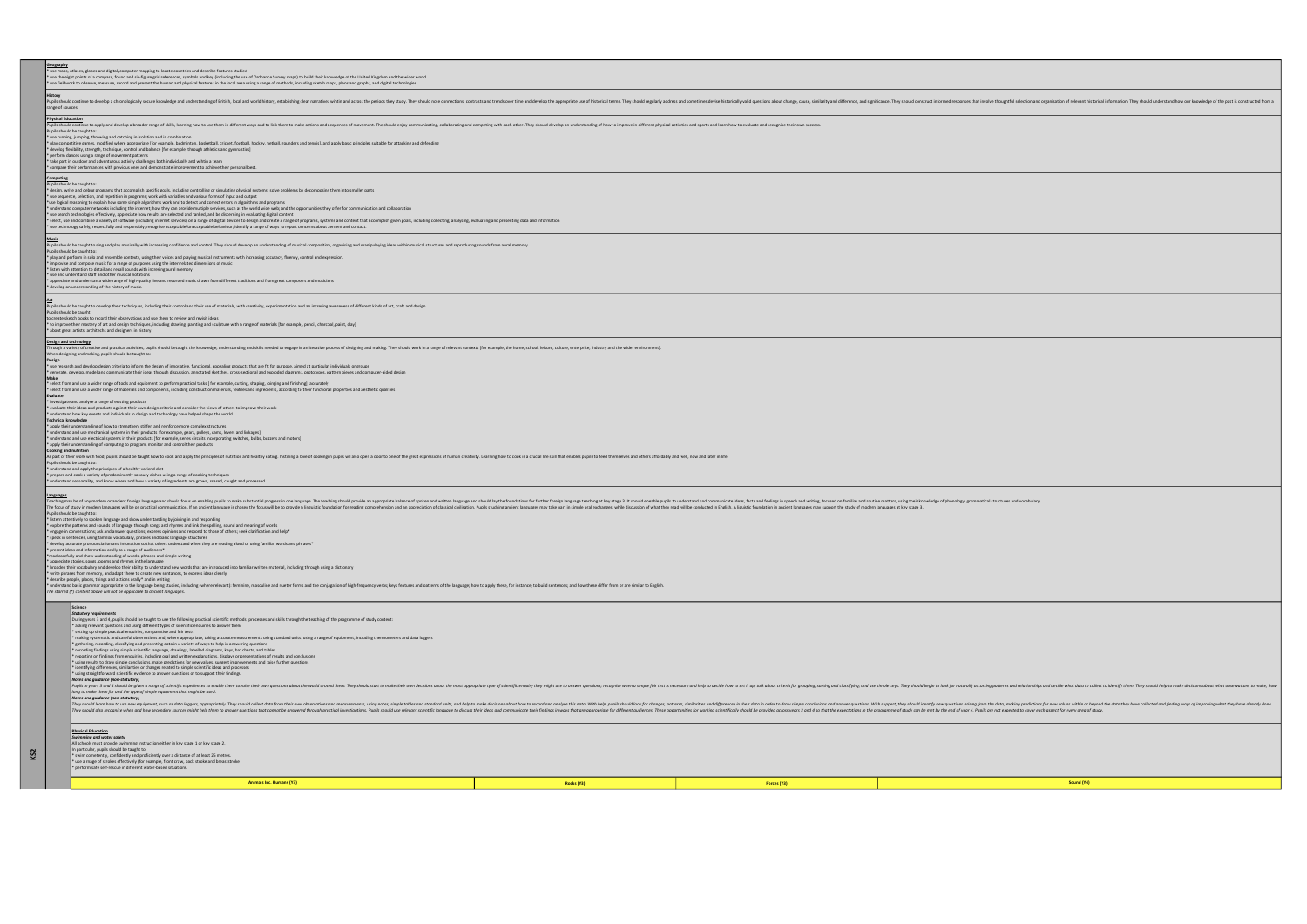|         | Geography<br>use maps, atlases, globes and digital/computer mapping to locate countries and describe features studied<br>* use the eight points of a compass, found and six-figure grid references, symbols and key (including the use of Ordnance Survey maps) to build their knowledge of the United Kingdom and the wider world<br>* use fieldwork to observe, measure, record and present the human and physical features in the local area using a range of methods, including sketch maps, plans and graphs, and digital technologies.                                                                                                                                                                                                                                                                                                                                                                                                                                                                                                                                                                                                                                                                                                 |
|---------|----------------------------------------------------------------------------------------------------------------------------------------------------------------------------------------------------------------------------------------------------------------------------------------------------------------------------------------------------------------------------------------------------------------------------------------------------------------------------------------------------------------------------------------------------------------------------------------------------------------------------------------------------------------------------------------------------------------------------------------------------------------------------------------------------------------------------------------------------------------------------------------------------------------------------------------------------------------------------------------------------------------------------------------------------------------------------------------------------------------------------------------------------------------------------------------------------------------------------------------------|
| History | Pupils should continue to develop a chronologically secure knowledge and understanding of British, local and world history, establishing clear narcatives withit and across the periods they study. They should regularly addr<br>range of sources.                                                                                                                                                                                                                                                                                                                                                                                                                                                                                                                                                                                                                                                                                                                                                                                                                                                                                                                                                                                          |
|         | <b>Physical Education</b><br>Pupils should continue to apply and develop a broader range of skills, learning how to use them in different ways and to link them to make actions and sequences of movement. The should enjoy communicating, collaborating an<br>Pupils should be taught to:<br>* use running, jumping, throwing and catching in isolation and in combination<br>* play competitive games, modified where appropriate [for example, badminton, basketball, cricket, football, hockey, netball, rounders and tennis], and apply basic principles suitable for attacking and defending<br>* develop flexibility, strength, technique, control and balance [for example, through athletics and gymnastics]<br>* perform dances using a range of movement patterns<br>* take part in outdoor and adventurous activity challenges both individually and wihtin a team                                                                                                                                                                                                                                                                                                                                                               |
|         | * compare their performances with previous ones and demonstrate improvement to achieve their personal best.                                                                                                                                                                                                                                                                                                                                                                                                                                                                                                                                                                                                                                                                                                                                                                                                                                                                                                                                                                                                                                                                                                                                  |
|         | Computing<br>Pupils should be taught to:<br>* design, write and debug programs that accomplish specific goals, including controlling or simulating physical systems; solve problems by decomposing them into smaller parts<br>* use sequence, selection, and repetition in programs; work with variables and various forms of input and output<br>*use logical reasoning to explain how some simple algorithms work and to detect and correct errors in algorithms and programs<br>* understand computer networks including the internet; how they can provide multiple services, such as the world wide web; and the opportunities they offer for communication and collaboration<br>* use search technologies effectively, appreciate how results are selected and ranked, and be discerning in evaluating digital content<br>* select, use and combine a variety of software (including internet services) on a range of digital devices to design and create a range of programs, systems and content that accomplish given goals, including collecting, a<br>* use technology safely, respectfully and responsibly; recognise acceptable/unacceptable behaviour; identify a range of ways to report concerns about centent and contact. |
|         | Pupils should be taught to sing and play musically with increasing confidence and control. They should develop an understanding of musical composition, organising and manipulaying ideas within musical structures and reprod<br>Pupils should be taught to:<br>* play and perform in solo and ensemble contexts, using their voices and playing musical instruments with increasing accuracy, fluency, control and expression.<br>* improvise and compose music for a range of purposes using the inter-related dimensions of music<br>listen with attention to detail and recall sounds with incresing aural memory<br>* use and understand staff and other musical notations<br>* appreciate and understan a wide range of high-quality live and recorded music drawn from different traditions and from great composers and musicians<br>* develop an understanding of the history of music.                                                                                                                                                                                                                                                                                                                                            |
|         | Pupils should be taught to develop their techniques, including their control and their use of materials, with creativity, experimentation and an incresing awareness of different kinds of art, craft and design.<br>Pupils should be taught:<br>to create sketch books to record their observations and use them to review and revisit ideas<br>* to improve their mastery of art and design techniques, including drawing, painting and sculpture with a range of materials [for example, pencil, charcoal, paint, clay]<br>* about great artists, architechs and designers in history.                                                                                                                                                                                                                                                                                                                                                                                                                                                                                                                                                                                                                                                    |
|         | Design and technology<br>Through a variety of creative and practical activities, pupils should betaught the knowledge, understanding and skills needed to engage in an iterative process of designing and making. They should work in a range of releva<br>When designing and making, pupils should be taught to:<br>* use research and develop design criteria to inform the design of innovative, functional, appealing products that are fit for purpose, aimed at particular individuals or groups<br>* generate, develop, model and communicate their ideas through discussion, annotated sketches, cross-sectional and exploded diagrams, prototypes, pattern pieces and computer-aided design                                                                                                                                                                                                                                                                                                                                                                                                                                                                                                                                         |
|         | * select from and use a wider range of tools and equipment to perform practical tasks [for example, cutting, shaping, joinging and finishing], accurately<br>* select from and use a wider range of materials and components, including construction materials, textiles and ingredients, according to their functional properties and aesthetic qualities<br>Evaluate                                                                                                                                                                                                                                                                                                                                                                                                                                                                                                                                                                                                                                                                                                                                                                                                                                                                       |
|         | * investigate and analyse a range of existing products<br>* evaluate their ideas and products against their own design criteria and consider the views of others to improve their work<br>understand how key events and individuals in design and technology have helped shape the world<br><b>Technical knowledge</b>                                                                                                                                                                                                                                                                                                                                                                                                                                                                                                                                                                                                                                                                                                                                                                                                                                                                                                                       |
|         | * apply their understanding of how to strengthen, stiffen and reinforce more complex structures<br>* understand and use mechanical systems in their products [for example, gears, pulleys, cams, levers and linkages]<br>* understand and use electrical systems in their products [for example, series circuits incorporating switches, bulbs, buzzers and motors]<br>* apply their understanding of computing to program, monitor and control their products<br>Cooking and nutrition                                                                                                                                                                                                                                                                                                                                                                                                                                                                                                                                                                                                                                                                                                                                                      |
|         | As part of their work with food, pupils should be taught how to cook and apply the principles of nutrition and healthy eating. Instilling a love of cooking in pupils wil also open a door to one of the great expressions of<br>Pupils should be taught to:<br>* understand and apply the principles of a healthy variend diet<br>* prepare and cook a variety of predominantly savoury dishes using a range of cooking techniques<br>* understand seasonality, and know where and how a variety of ingredients are grown, reared, caught and processed.                                                                                                                                                                                                                                                                                                                                                                                                                                                                                                                                                                                                                                                                                    |
|         | Teaching may be of any modern or ancient foreign language and should focus on enabling pupils to make substantial progress in one language. The teaching should provide an appropriate balance of spoken and written language<br>The focus of study in modern languages will be on practical communication. If an ancient language is chosen the focus will be to provide a linguistic foundation for reading comprehension and an appreciation of classical ci<br>Pupils should be taught to:                                                                                                                                                                                                                                                                                                                                                                                                                                                                                                                                                                                                                                                                                                                                               |
|         | * listern attentively to spoken language and show understanding by joining in and responding<br>explore the patterns and sounds of language through songs and rhymes and link the spelling, sound and meaning of words<br>* engage in conversations; ask and answer questions; express opinions and respond to those of others; seek clarification and help*<br>* speak in sentences, using familiar vocabulary, phrases and basic language structures<br>* develop accurate pronounciation and intonation so that others understand when they are reading aloud or using familiar words and phrases*<br>* present ideas and information orally to a range of audiences*                                                                                                                                                                                                                                                                                                                                                                                                                                                                                                                                                                     |
|         | *read carefully and show understanding of words, phrases and simple writing<br>* appreciate stories, songs, poems and rhymes in the language<br>* broaden their vocabulary and develop their ability to understand new words that are introduced into familiar written material, including through using a dictionary<br>* write phrases from memory, and adapt these to create new sentances, to express ideas clearly<br>* describe people, places, things and actions orally* and in writing<br>* understand basic grammar appropriate to the language being studied, including (where relevant): feminine, masculine and nueter forms and the conjugation of high-frequency verbs; keys features and oatterns of the language                                                                                                                                                                                                                                                                                                                                                                                                                                                                                                            |
|         | The starred (*) content above will not be applicable to ancient languages.<br><b>Science</b>                                                                                                                                                                                                                                                                                                                                                                                                                                                                                                                                                                                                                                                                                                                                                                                                                                                                                                                                                                                                                                                                                                                                                 |
|         | <b>Statutory requirements</b><br>During years 3 and 4, pupils should be taught to use the following practical scientific methods, processes and skills through the teaching of the programme of study content:<br>* asking relevant questions and using different types of scientific enquiries to answer them<br>setting up simple practical enquiries, comparative and fair tests<br>making systematic and careful observations and, where appropriate, taking accurate measurements using standard units, using a range of equipment, including thermometers and data loggers<br>gathering, recording, classifying and presenting data in a variety of ways to help in answering questions<br>recording findings using simple scientific language, drawings, labelled diagrams, keys, bar charts, and tables<br>reporting on findings from enquiries, including oral and written explanations, displays or presentations of results and conclusions<br>using results to draw simple conclusions, make predictions for new values, suggest improvements and raise further questions                                                                                                                                                        |
|         | * identifying differences, similarities or changes related to simple scientific ideas and processes<br>* using straightforward scientific evidence to answer questions or to support their findings.<br>Notes and guidance (non-statutory)<br>Pupils in years 3 and 4 should be given a range of scientific experiences to enable them to raise their own questions about the world around them. They should them to range that to make their own decisions about the most a                                                                                                                                                                                                                                                                                                                                                                                                                                                                                                                                                                                                                                                                                                                                                                 |
|         | long to make them for and the type of simple equipment that might be used.<br>Notes and guidance (non-statutory)<br>They should learn how to use new equipment, such as data loggers, appropriately. They should collect data from their own observations and measurements, using notes, simple tobles and standard units, and help to make detsio<br>They should also recognise when and how secondary sources might help them to answer questions that cannot be answered through practical investigations. Pupils should use relevant scientific language to discuss their ideas                                                                                                                                                                                                                                                                                                                                                                                                                                                                                                                                                                                                                                                          |
|         | <b>Physical Education</b><br>Swimming and water safety<br>All schools must provide swimming instruction either in key stage 1 or key stage 2.<br>In particular, pupils should be taught to:<br>swim cometently, confidently and proficiently over a distance of at least 25 metres.<br>buse a rnage of strokes effectively (for example, front craw, back stroke and breaststroke<br>perform safe self-rescue in different water-based situations.                                                                                                                                                                                                                                                                                                                                                                                                                                                                                                                                                                                                                                                                                                                                                                                           |
|         | Sound (Y4)<br><b>Animals Inc. Humans (Y3)</b><br>Rocks (Y3)<br>Forces (Y3)                                                                                                                                                                                                                                                                                                                                                                                                                                                                                                                                                                                                                                                                                                                                                                                                                                                                                                                                                                                                                                                                                                                                                                   |

rring patterns and relationships and decide what data to collect to identify them. They should help to make decisions about what observations to make, how Sound (Y4) nvolve thoughtful selection and organisation of relevant historical information. They should understand how our knowledge of the past is constructed from a